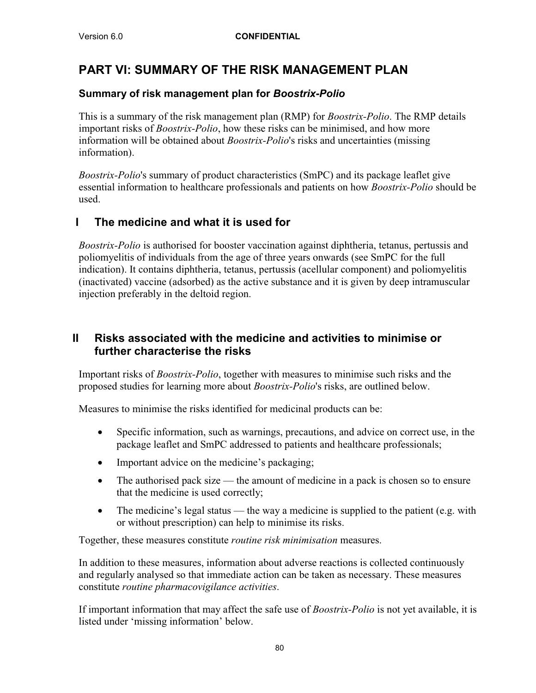# **PART VI: SUMMARY OF THE RISK MANAGEMENT PLAN**

## **Summary of risk management plan for** *Boostrix-Polio*

This is a summary of the risk management plan (RMP) for *Boostrix-Polio*. The RMP details important risks of *Boostrix-Polio*, how these risks can be minimised, and how more information will be obtained about *Boostrix-Polio*'s risks and uncertainties (missing information).

*Boostrix-Polio*'s summary of product characteristics (SmPC) and its package leaflet give essential information to healthcare professionals and patients on how *Boostrix-Polio* should be used.

## **I The medicine and what it is used for**

*Boostrix-Polio* is authorised for booster vaccination against diphtheria, tetanus, pertussis and poliomyelitis of individuals from the age of three years onwards (see SmPC for the full indication). It contains diphtheria, tetanus, pertussis (acellular component) and poliomyelitis (inactivated) vaccine (adsorbed) as the active substance and it is given by deep intramuscular injection preferably in the deltoid region.

## **II Risks associated with the medicine and activities to minimise or further characterise the risks**

Important risks of *Boostrix-Polio*, together with measures to minimise such risks and the proposed studies for learning more about *Boostrix-Polio*'s risks, are outlined below.

Measures to minimise the risks identified for medicinal products can be:

- Specific information, such as warnings, precautions, and advice on correct use, in the package leaflet and SmPC addressed to patients and healthcare professionals;
- Important advice on the medicine's packaging;
- The authorised pack size the amount of medicine in a pack is chosen so to ensure that the medicine is used correctly;
- $\bullet$  The medicine's legal status the way a medicine is supplied to the patient (e.g. with or without prescription) can help to minimise its risks.

Together, these measures constitute *routine risk minimisation* measures.

In addition to these measures, information about adverse reactions is collected continuously and regularly analysed so that immediate action can be taken as necessary. These measures constitute *routine pharmacovigilance activities*.

If important information that may affect the safe use of *Boostrix-Polio* is not yet available, it is listed under 'missing information' below.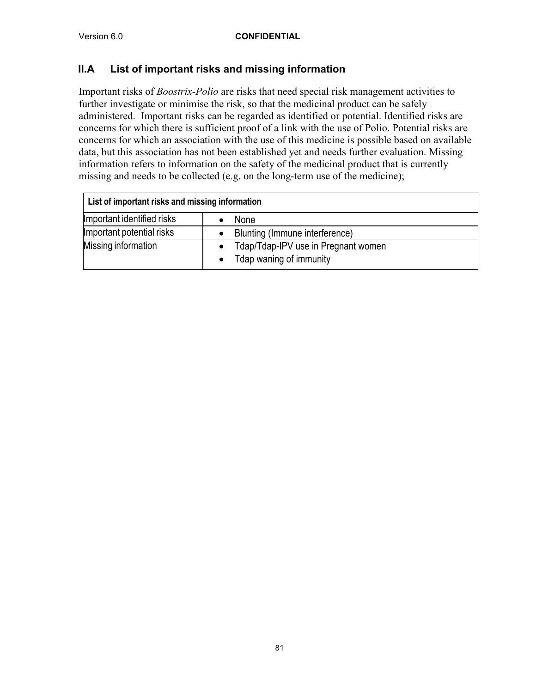## **II.A List of important risks and missing information**

Important risks of *Boostrix-Polio* are risks that need special risk management activities to further investigate or minimise the risk, so that the medicinal product can be safely administered. Important risks can be regarded as identified or potential. Identified risks are concerns for which there is sufficient proof of a link with the use of Polio. Potential risks are concerns for which an association with the use of this medicine is possible based on available data, but this association has not been established yet and needs further evaluation. Missing information refers to information on the safety of the medicinal product that is currently missing and needs to be collected (e.g. on the long-term use of the medicine);

| List of important risks and missing information |                                                                             |  |  |  |  |
|-------------------------------------------------|-----------------------------------------------------------------------------|--|--|--|--|
| Important identified risks                      | <b>None</b>                                                                 |  |  |  |  |
| Important potential risks                       | Blunting (Immune interference)                                              |  |  |  |  |
| Missing information                             | Tdap/Tdap-IPV use in Pregnant women<br>$\bullet$<br>Tdap waning of immunity |  |  |  |  |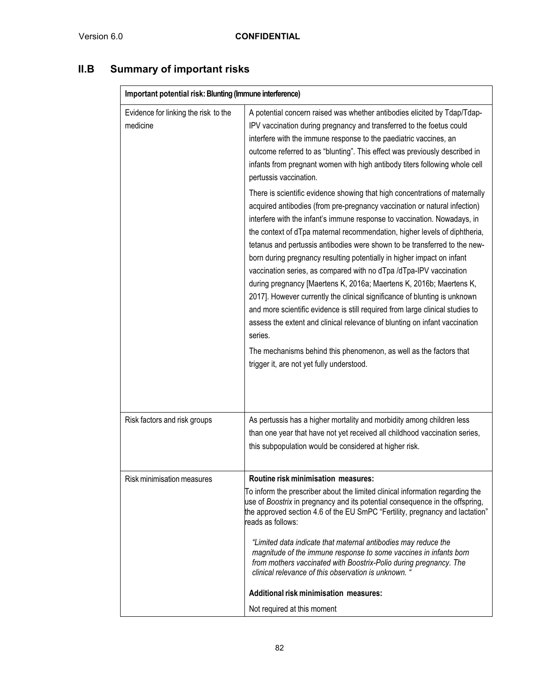# **II.B Summary of important risks**

| Important potential risk: Blunting (Immune interference) |                                                                                                                                                                                                                                                                                                                                                                                                                                                                                                                                                                                                                                                                                                                                                                                                                                                                                                                                                                                                 |  |  |
|----------------------------------------------------------|-------------------------------------------------------------------------------------------------------------------------------------------------------------------------------------------------------------------------------------------------------------------------------------------------------------------------------------------------------------------------------------------------------------------------------------------------------------------------------------------------------------------------------------------------------------------------------------------------------------------------------------------------------------------------------------------------------------------------------------------------------------------------------------------------------------------------------------------------------------------------------------------------------------------------------------------------------------------------------------------------|--|--|
| Evidence for linking the risk to the<br>medicine         | A potential concern raised was whether antibodies elicited by Tdap/Tdap-<br>IPV vaccination during pregnancy and transferred to the foetus could<br>interfere with the immune response to the paediatric vaccines, an<br>outcome referred to as "blunting". This effect was previously described in<br>infants from pregnant women with high antibody titers following whole cell<br>pertussis vaccination.                                                                                                                                                                                                                                                                                                                                                                                                                                                                                                                                                                                     |  |  |
|                                                          | There is scientific evidence showing that high concentrations of maternally<br>acquired antibodies (from pre-pregnancy vaccination or natural infection)<br>interfere with the infant's immune response to vaccination. Nowadays, in<br>the context of dTpa maternal recommendation, higher levels of diphtheria,<br>tetanus and pertussis antibodies were shown to be transferred to the new-<br>born during pregnancy resulting potentially in higher impact on infant<br>vaccination series, as compared with no dTpa /dTpa-IPV vaccination<br>during pregnancy [Maertens K, 2016a; Maertens K, 2016b; Maertens K,<br>2017]. However currently the clinical significance of blunting is unknown<br>and more scientific evidence is still required from large clinical studies to<br>assess the extent and clinical relevance of blunting on infant vaccination<br>series.<br>The mechanisms behind this phenomenon, as well as the factors that<br>trigger it, are not yet fully understood. |  |  |
| Risk factors and risk groups                             | As pertussis has a higher mortality and morbidity among children less<br>than one year that have not yet received all childhood vaccination series,<br>this subpopulation would be considered at higher risk.                                                                                                                                                                                                                                                                                                                                                                                                                                                                                                                                                                                                                                                                                                                                                                                   |  |  |
| Risk minimisation measures                               | Routine risk minimisation measures:<br>To inform the prescriber about the limited clinical information regarding the<br>use of Boostrix in pregnancy and its potential consequence in the offspring,<br>the approved section 4.6 of the EU SmPC "Fertility, pregnancy and lactation"<br>reads as follows:<br>"Limited data indicate that maternal antibodies may reduce the<br>magnitude of the immune response to some vaccines in infants born<br>from mothers vaccinated with Boostrix-Polio during pregnancy. The<br>clinical relevance of this observation is unknown. '<br><b>Additional risk minimisation measures:</b><br>Not required at this moment                                                                                                                                                                                                                                                                                                                                   |  |  |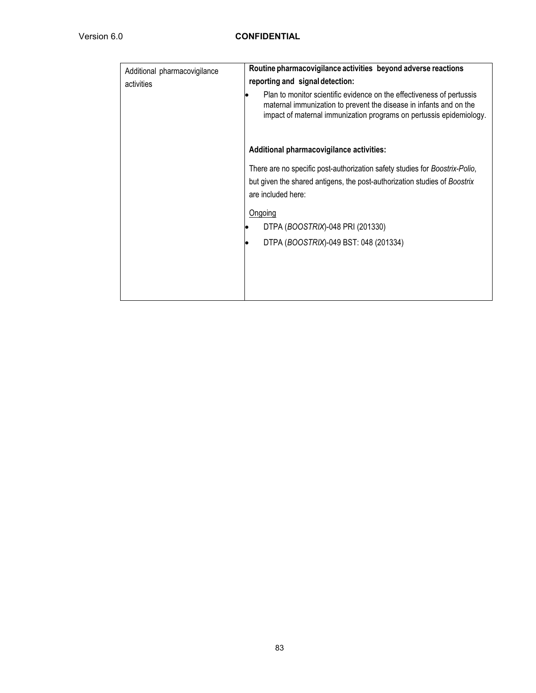| Additional pharmacovigilance | Routine pharmacovigilance activities beyond adverse reactions                                                                                                                                                      |  |  |  |
|------------------------------|--------------------------------------------------------------------------------------------------------------------------------------------------------------------------------------------------------------------|--|--|--|
| activities                   | reporting and signal detection:                                                                                                                                                                                    |  |  |  |
|                              | Plan to monitor scientific evidence on the effectiveness of pertussis<br>maternal immunization to prevent the disease in infants and on the<br>impact of maternal immunization programs on pertussis epidemiology. |  |  |  |
|                              | Additional pharmacovigilance activities:                                                                                                                                                                           |  |  |  |
|                              | There are no specific post-authorization safety studies for Boostrix-Polio,                                                                                                                                        |  |  |  |
|                              | but given the shared antigens, the post-authorization studies of Boostrix<br>are included here:                                                                                                                    |  |  |  |
|                              |                                                                                                                                                                                                                    |  |  |  |
|                              | Ongoing                                                                                                                                                                                                            |  |  |  |
|                              | DTPA (BOOSTRIX)-048 PRI (201330)                                                                                                                                                                                   |  |  |  |
|                              | DTPA (BOOSTRIX)-049 BST: 048 (201334)                                                                                                                                                                              |  |  |  |
|                              |                                                                                                                                                                                                                    |  |  |  |
|                              |                                                                                                                                                                                                                    |  |  |  |
|                              |                                                                                                                                                                                                                    |  |  |  |
|                              |                                                                                                                                                                                                                    |  |  |  |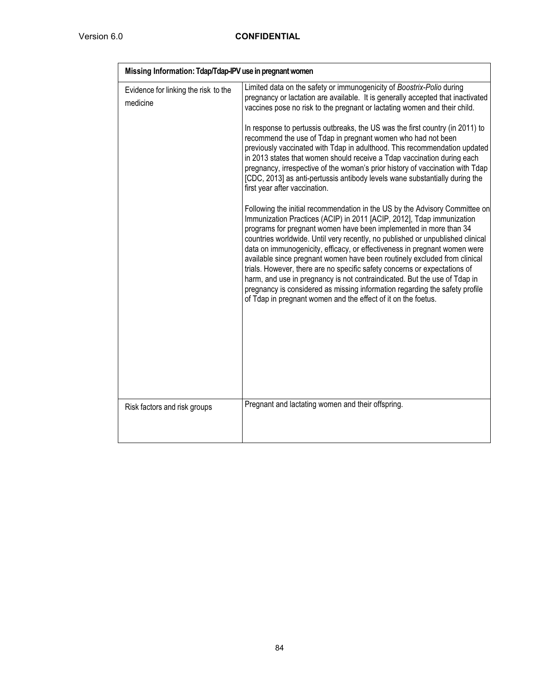| Missing Information: Tdap/Tdap-IPV use in pregnant women |                                                                                                                                                                                                                                                                                                                                                                                                                                                                                                                                                                                                                                                                                                                                                                                                                                                                                                                                                                                                                                                                                                                                                                                                                                                                                                                                                                                                                                                                                                                                                                                         |  |  |  |
|----------------------------------------------------------|-----------------------------------------------------------------------------------------------------------------------------------------------------------------------------------------------------------------------------------------------------------------------------------------------------------------------------------------------------------------------------------------------------------------------------------------------------------------------------------------------------------------------------------------------------------------------------------------------------------------------------------------------------------------------------------------------------------------------------------------------------------------------------------------------------------------------------------------------------------------------------------------------------------------------------------------------------------------------------------------------------------------------------------------------------------------------------------------------------------------------------------------------------------------------------------------------------------------------------------------------------------------------------------------------------------------------------------------------------------------------------------------------------------------------------------------------------------------------------------------------------------------------------------------------------------------------------------------|--|--|--|
| Evidence for linking the risk to the<br>medicine         | Limited data on the safety or immunogenicity of Boostrix-Polio during<br>pregnancy or lactation are available. It is generally accepted that inactivated<br>vaccines pose no risk to the pregnant or lactating women and their child.<br>In response to pertussis outbreaks, the US was the first country (in 2011) to<br>recommend the use of Tdap in pregnant women who had not been<br>previously vaccinated with Tdap in adulthood. This recommendation updated<br>in 2013 states that women should receive a Tdap vaccination during each<br>pregnancy, irrespective of the woman's prior history of vaccination with Tdap<br>[CDC, 2013] as anti-pertussis antibody levels wane substantially during the<br>first year after vaccination.<br>Following the initial recommendation in the US by the Advisory Committee on<br>Immunization Practices (ACIP) in 2011 [ACIP, 2012], Tdap immunization<br>programs for pregnant women have been implemented in more than 34<br>countries worldwide. Until very recently, no published or unpublished clinical<br>data on immunogenicity, efficacy, or effectiveness in pregnant women were<br>available since pregnant women have been routinely excluded from clinical<br>trials. However, there are no specific safety concerns or expectations of<br>harm, and use in pregnancy is not contraindicated. But the use of Tdap in<br>pregnancy is considered as missing information regarding the safety profile<br>of Tdap in pregnant women and the effect of it on the foetus.<br>Pregnant and lactating women and their offspring. |  |  |  |
| Risk factors and risk groups                             |                                                                                                                                                                                                                                                                                                                                                                                                                                                                                                                                                                                                                                                                                                                                                                                                                                                                                                                                                                                                                                                                                                                                                                                                                                                                                                                                                                                                                                                                                                                                                                                         |  |  |  |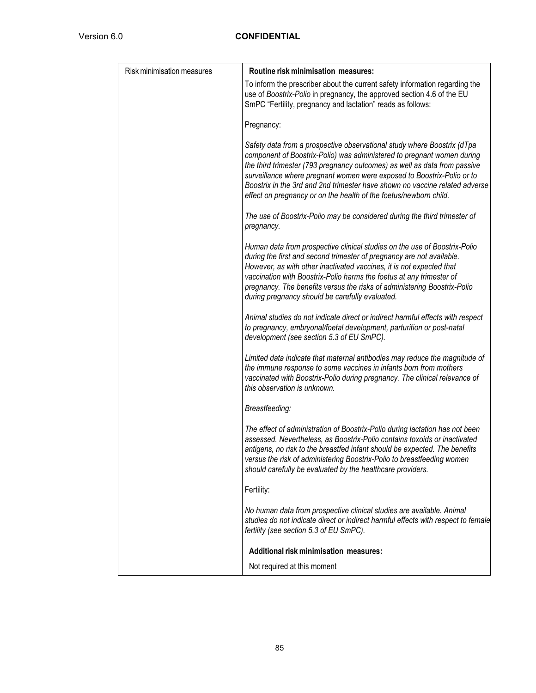| Risk minimisation measures | Routine risk minimisation measures:                                                                                                                                                                                                                                                                                                                                                                                                                          |  |  |  |
|----------------------------|--------------------------------------------------------------------------------------------------------------------------------------------------------------------------------------------------------------------------------------------------------------------------------------------------------------------------------------------------------------------------------------------------------------------------------------------------------------|--|--|--|
|                            | To inform the prescriber about the current safety information regarding the<br>use of Boostrix-Polio in pregnancy, the approved section 4.6 of the EU<br>SmPC "Fertility, pregnancy and lactation" reads as follows:                                                                                                                                                                                                                                         |  |  |  |
|                            | Pregnancy:                                                                                                                                                                                                                                                                                                                                                                                                                                                   |  |  |  |
|                            | Safety data from a prospective observational study where Boostrix (dTpa<br>component of Boostrix-Polio) was administered to pregnant women during<br>the third trimester (793 pregnancy outcomes) as well as data from passive<br>surveillance where pregnant women were exposed to Boostrix-Polio or to<br>Boostrix in the 3rd and 2nd trimester have shown no vaccine related adverse<br>effect on pregnancy or on the health of the foetus/newborn child. |  |  |  |
|                            | The use of Boostrix-Polio may be considered during the third trimester of<br>pregnancy.                                                                                                                                                                                                                                                                                                                                                                      |  |  |  |
|                            | Human data from prospective clinical studies on the use of Boostrix-Polio<br>during the first and second trimester of pregnancy are not available.<br>However, as with other inactivated vaccines, it is not expected that<br>vaccination with Boostrix-Polio harms the foetus at any trimester of<br>pregnancy. The benefits versus the risks of administering Boostrix-Polio<br>during pregnancy should be carefully evaluated.                            |  |  |  |
|                            | Animal studies do not indicate direct or indirect harmful effects with respect<br>to pregnancy, embryonal/foetal development, parturition or post-natal<br>development (see section 5.3 of EU SmPC).                                                                                                                                                                                                                                                         |  |  |  |
|                            | Limited data indicate that maternal antibodies may reduce the magnitude of<br>the immune response to some vaccines in infants born from mothers<br>vaccinated with Boostrix-Polio during pregnancy. The clinical relevance of<br>this observation is unknown.                                                                                                                                                                                                |  |  |  |
|                            | Breastfeeding:                                                                                                                                                                                                                                                                                                                                                                                                                                               |  |  |  |
|                            | The effect of administration of Boostrix-Polio during lactation has not been<br>assessed. Nevertheless, as Boostrix-Polio contains toxoids or inactivated<br>antigens, no risk to the breastfed infant should be expected. The benefits<br>versus the risk of administering Boostrix-Polio to breastfeeding women<br>should carefully be evaluated by the healthcare providers.                                                                              |  |  |  |
|                            | Fertility:                                                                                                                                                                                                                                                                                                                                                                                                                                                   |  |  |  |
|                            | No human data from prospective clinical studies are available. Animal<br>studies do not indicate direct or indirect harmful effects with respect to female<br>fertility (see section 5.3 of EU SmPC).                                                                                                                                                                                                                                                        |  |  |  |
|                            | <b>Additional risk minimisation measures:</b>                                                                                                                                                                                                                                                                                                                                                                                                                |  |  |  |
|                            | Not required at this moment                                                                                                                                                                                                                                                                                                                                                                                                                                  |  |  |  |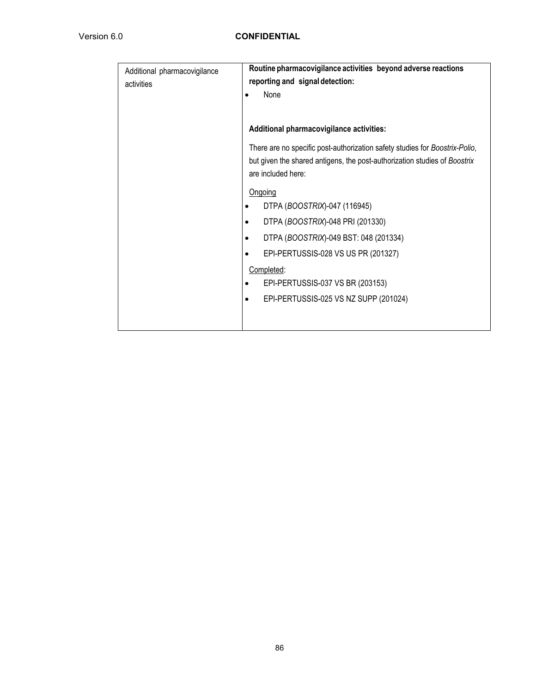| Additional pharmacovigilance | Routine pharmacovigilance activities beyond adverse reactions               |  |  |  |  |  |
|------------------------------|-----------------------------------------------------------------------------|--|--|--|--|--|
| activities                   | reporting and signal detection:                                             |  |  |  |  |  |
|                              | None                                                                        |  |  |  |  |  |
|                              |                                                                             |  |  |  |  |  |
|                              | Additional pharmacovigilance activities:                                    |  |  |  |  |  |
|                              | There are no specific post-authorization safety studies for Boostrix-Polio, |  |  |  |  |  |
|                              | but given the shared antigens, the post-authorization studies of Boostrix   |  |  |  |  |  |
|                              | are included here:                                                          |  |  |  |  |  |
|                              | Ongoing                                                                     |  |  |  |  |  |
|                              | DTPA (BOOSTRIX)-047 (116945)                                                |  |  |  |  |  |
|                              | DTPA (BOOSTRIX)-048 PRI (201330)<br>$\bullet$                               |  |  |  |  |  |
|                              | DTPA (BOOSTRIX)-049 BST: 048 (201334)<br>$\bullet$                          |  |  |  |  |  |
|                              | EPI-PERTUSSIS-028 VS US PR (201327)<br>$\bullet$                            |  |  |  |  |  |
|                              | Completed:                                                                  |  |  |  |  |  |
|                              | EPI-PERTUSSIS-037 VS BR (203153)                                            |  |  |  |  |  |
|                              | EPI-PERTUSSIS-025 VS NZ SUPP (201024)<br>٠                                  |  |  |  |  |  |
|                              |                                                                             |  |  |  |  |  |
|                              |                                                                             |  |  |  |  |  |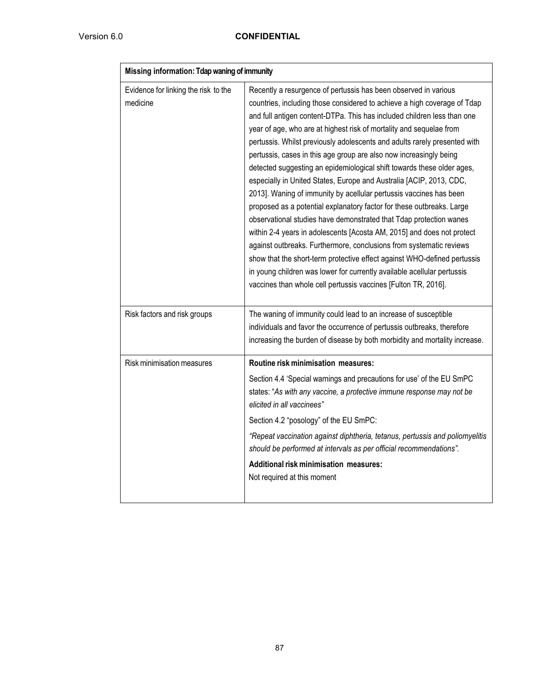| Missing information: Tdap waning of immunity     |                                                                                                                                                                                                                                                                                                                                                                                                                                                                                                                                                                                                                                                                                                                                                                                                                                                                                                                                                                                                                                                                                                                                                                                                  |  |  |  |
|--------------------------------------------------|--------------------------------------------------------------------------------------------------------------------------------------------------------------------------------------------------------------------------------------------------------------------------------------------------------------------------------------------------------------------------------------------------------------------------------------------------------------------------------------------------------------------------------------------------------------------------------------------------------------------------------------------------------------------------------------------------------------------------------------------------------------------------------------------------------------------------------------------------------------------------------------------------------------------------------------------------------------------------------------------------------------------------------------------------------------------------------------------------------------------------------------------------------------------------------------------------|--|--|--|
| Evidence for linking the risk to the<br>medicine | Recently a resurgence of pertussis has been observed in various<br>countries, including those considered to achieve a high coverage of Tdap<br>and full antigen content-DTPa. This has included children less than one<br>year of age, who are at highest risk of mortality and sequelae from<br>pertussis. Whilst previously adolescents and adults rarely presented with<br>pertussis, cases in this age group are also now increasingly being<br>detected suggesting an epidemiological shift towards these older ages,<br>especially in United States, Europe and Australia [ACIP, 2013, CDC,<br>2013]. Waning of immunity by acellular pertussis vaccines has been<br>proposed as a potential explanatory factor for these outbreaks. Large<br>observational studies have demonstrated that Tdap protection wanes<br>within 2-4 years in adolescents [Acosta AM, 2015] and does not protect<br>against outbreaks. Furthermore, conclusions from systematic reviews<br>show that the short-term protective effect against WHO-defined pertussis<br>in young children was lower for currently available acellular pertussis<br>vaccines than whole cell pertussis vaccines [Fulton TR, 2016]. |  |  |  |
| Risk factors and risk groups                     | The waning of immunity could lead to an increase of susceptible<br>individuals and favor the occurrence of pertussis outbreaks, therefore<br>increasing the burden of disease by both morbidity and mortality increase.                                                                                                                                                                                                                                                                                                                                                                                                                                                                                                                                                                                                                                                                                                                                                                                                                                                                                                                                                                          |  |  |  |
| Risk minimisation measures                       | Routine risk minimisation measures:                                                                                                                                                                                                                                                                                                                                                                                                                                                                                                                                                                                                                                                                                                                                                                                                                                                                                                                                                                                                                                                                                                                                                              |  |  |  |
|                                                  | Section 4.4 'Special warnings and precautions for use' of the EU SmPC<br>states: "As with any vaccine, a protective immune response may not be<br>elicited in all vaccinees"                                                                                                                                                                                                                                                                                                                                                                                                                                                                                                                                                                                                                                                                                                                                                                                                                                                                                                                                                                                                                     |  |  |  |
|                                                  | Section 4.2 "posology" of the EU SmPC:                                                                                                                                                                                                                                                                                                                                                                                                                                                                                                                                                                                                                                                                                                                                                                                                                                                                                                                                                                                                                                                                                                                                                           |  |  |  |
|                                                  | "Repeat vaccination against diphtheria, tetanus, pertussis and poliomyelitis<br>should be performed at intervals as per official recommendations".                                                                                                                                                                                                                                                                                                                                                                                                                                                                                                                                                                                                                                                                                                                                                                                                                                                                                                                                                                                                                                               |  |  |  |
|                                                  | Additional risk minimisation measures:<br>Not required at this moment                                                                                                                                                                                                                                                                                                                                                                                                                                                                                                                                                                                                                                                                                                                                                                                                                                                                                                                                                                                                                                                                                                                            |  |  |  |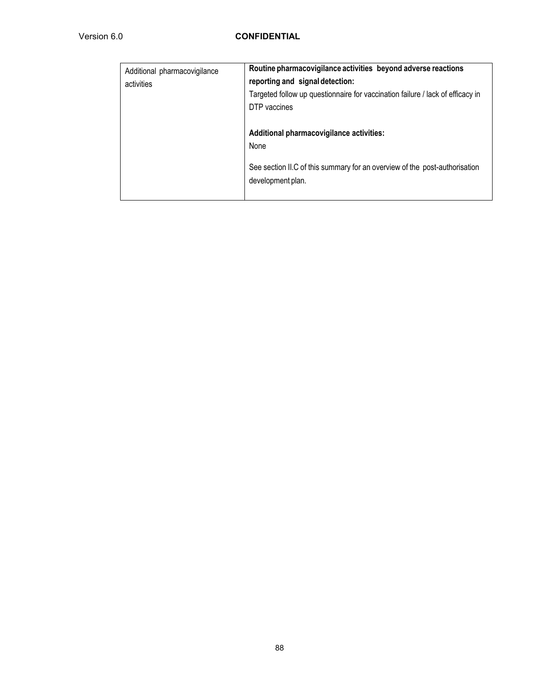| Additional pharmacovigilance<br>activities | Routine pharmacovigilance activities beyond adverse reactions<br>reporting and signal detection:<br>Targeted follow up questionnaire for vaccination failure / lack of efficacy in<br>DTP vaccines |
|--------------------------------------------|----------------------------------------------------------------------------------------------------------------------------------------------------------------------------------------------------|
|                                            | Additional pharmacovigilance activities:<br>None<br>See section II.C of this summary for an overview of the post-authorisation<br>development plan.                                                |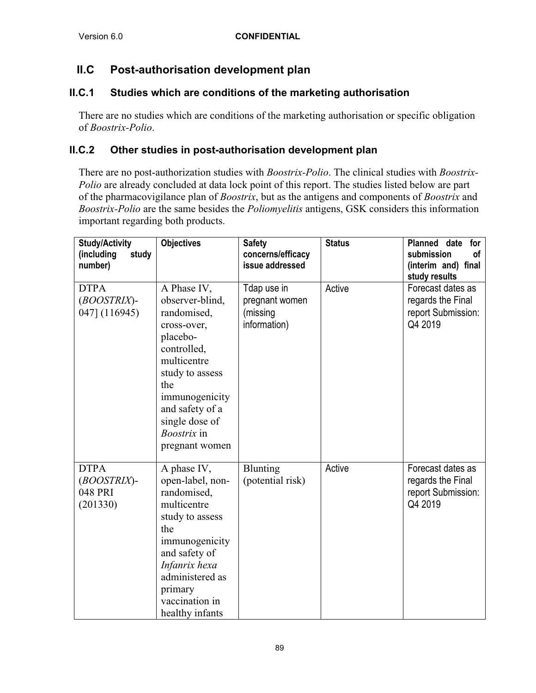## **II.C Post-authorisation development plan**

## **II.C.1 Studies which are conditions of the marketing authorisation**

There are no studies which are conditions of the marketing authorisation or specific obligation of *Boostrix-Polio*.

### **II.C.2 Other studies in post-authorisation development plan**

There are no post-authorization studies with *Boostrix-Polio*. The clinical studies with *Boostrix-Polio* are already concluded at data lock point of this report. The studies listed below are part of the pharmacovigilance plan of *Boostrix*, but as the antigens and components of *Boostrix* and *Boostrix-Polio* are the same besides the *Poliomyelitis* antigens, GSK considers this information important regarding both products.

| <b>Study/Activity</b><br>(including<br>study<br>number) | <b>Objectives</b>                                                                                                                                                                                                               | <b>Safety</b><br>concerns/efficacy<br>issue addressed     | <b>Status</b> | Planned date<br>for<br>submission<br>οf<br>(interim and) final<br>study results |
|---------------------------------------------------------|---------------------------------------------------------------------------------------------------------------------------------------------------------------------------------------------------------------------------------|-----------------------------------------------------------|---------------|---------------------------------------------------------------------------------|
| <b>DTPA</b><br>(BOOSTRIX)-<br>047] (116945)             | A Phase IV,<br>observer-blind,<br>randomised,<br>cross-over,<br>placebo-<br>controlled,<br>multicentre<br>study to assess<br>the<br>immunogenicity<br>and safety of a<br>single dose of<br><i>Boostrix</i> in<br>pregnant women | Tdap use in<br>pregnant women<br>(missing<br>information) | Active        | Forecast dates as<br>regards the Final<br>report Submission:<br>Q4 2019         |
| <b>DTPA</b><br>(BOOSTRIX)-<br>048 PRI<br>(201330)       | A phase IV,<br>open-label, non-<br>randomised,<br>multicentre<br>study to assess<br>the<br>immunogenicity<br>and safety of<br>Infanrix hexa<br>administered as<br>primary<br>vaccination in<br>healthy infants                  | <b>Blunting</b><br>(potential risk)                       | Active        | Forecast dates as<br>regards the Final<br>report Submission:<br>Q4 2019         |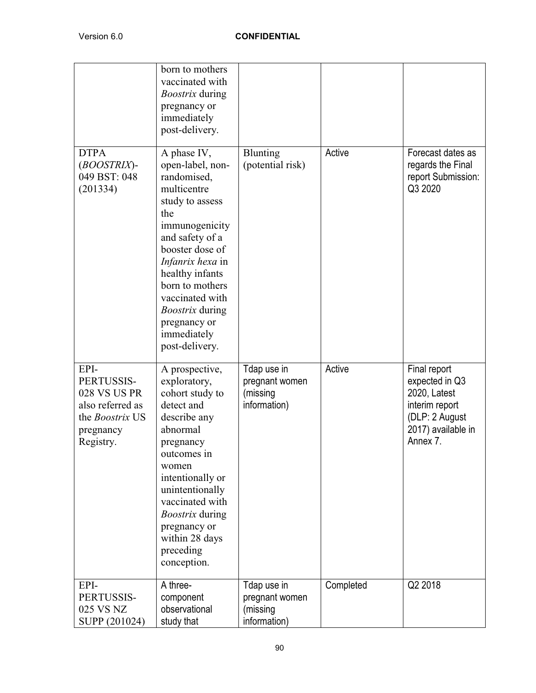|                                                                                                     | born to mothers<br>vaccinated with<br><i>Boostrix</i> during<br>pregnancy or<br>immediately<br>post-delivery.                                                                                                                                                                                           |                                                           |           |                                                                                                                      |
|-----------------------------------------------------------------------------------------------------|---------------------------------------------------------------------------------------------------------------------------------------------------------------------------------------------------------------------------------------------------------------------------------------------------------|-----------------------------------------------------------|-----------|----------------------------------------------------------------------------------------------------------------------|
| <b>DTPA</b><br>(BOOSTRIX)-<br>049 BST: 048<br>(201334)                                              | A phase IV,<br>open-label, non-<br>randomised,<br>multicentre<br>study to assess<br>the<br>immunogenicity<br>and safety of a<br>booster dose of<br>Infanrix hexa in<br>healthy infants<br>born to mothers<br>vaccinated with<br><i>Boostrix</i> during<br>pregnancy or<br>immediately<br>post-delivery. | Blunting<br>(potential risk)                              | Active    | Forecast dates as<br>regards the Final<br>report Submission:<br>Q3 2020                                              |
| EPI-<br>PERTUSSIS-<br>028 VS US PR<br>also referred as<br>the Boostrix US<br>pregnancy<br>Registry. | A prospective,<br>exploratory,<br>cohort study to<br>detect and<br>describe any<br>abnormal<br>pregnancy<br>outcomes in<br>women<br>intentionally or<br>unintentionally<br>vaccinated with<br><i>Boostrix</i> during<br>pregnancy or<br>within 28 days<br>preceding<br>conception.                      | Tdap use in<br>pregnant women<br>(missing<br>information) | Active    | Final report<br>expected in Q3<br>2020, Latest<br>interim report<br>(DLP: 2 August<br>2017) available in<br>Annex 7. |
| EPI-<br>PERTUSSIS-<br>025 VS NZ<br>SUPP (201024)                                                    | A three-<br>component<br>observational<br>study that                                                                                                                                                                                                                                                    | Tdap use in<br>pregnant women<br>(missing<br>information) | Completed | Q2 2018                                                                                                              |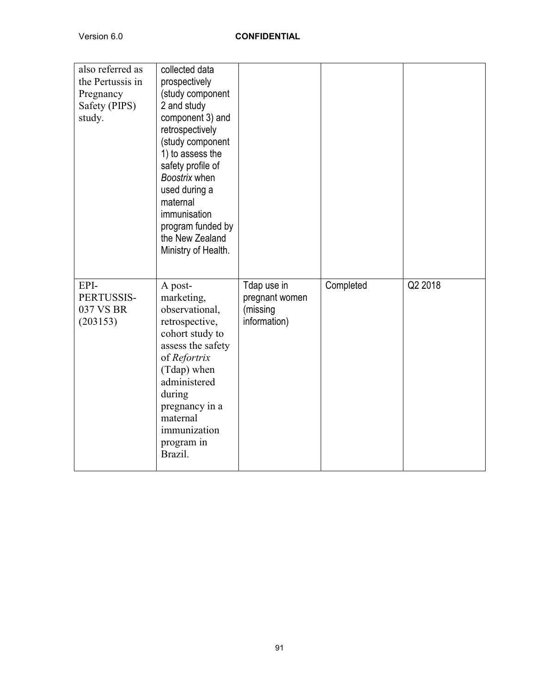| also referred as<br>the Pertussis in<br>Pregnancy<br>Safety (PIPS)<br>study. | collected data<br>prospectively<br>(study component<br>2 and study<br>component 3) and<br>retrospectively<br>(study component<br>1) to assess the<br>safety profile of<br>Boostrix when<br>used during a<br>maternal<br>immunisation<br>program funded by<br>the New Zealand<br>Ministry of Health. |                                                           |           |         |
|------------------------------------------------------------------------------|-----------------------------------------------------------------------------------------------------------------------------------------------------------------------------------------------------------------------------------------------------------------------------------------------------|-----------------------------------------------------------|-----------|---------|
| EPI-<br>PERTUSSIS-<br>037 VS BR<br>(203153)                                  | A post-<br>marketing,<br>observational,<br>retrospective,<br>cohort study to<br>assess the safety<br>of Refortrix<br>(Tdap) when<br>administered<br>during<br>pregnancy in a<br>maternal<br>immunization<br>program in<br>Brazil.                                                                   | Tdap use in<br>pregnant women<br>(missing<br>information) | Completed | Q2 2018 |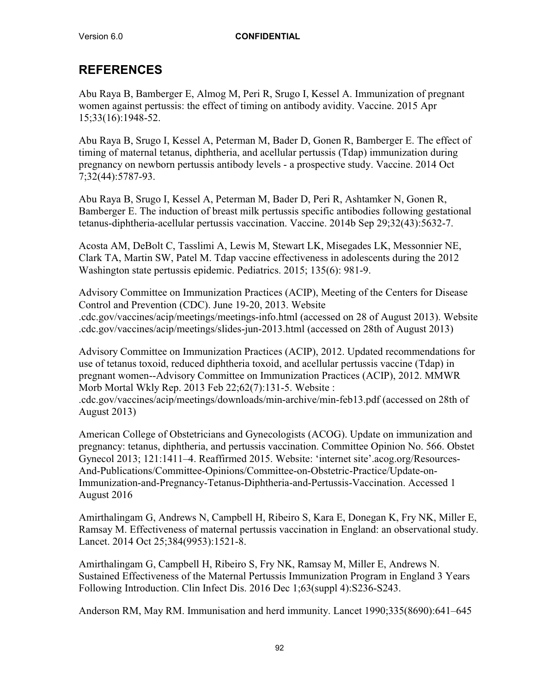## **REFERENCES**

Abu Raya B, Bamberger E, Almog M, Peri R, Srugo I, Kessel A. Immunization of pregnant women against pertussis: the effect of timing on antibody avidity. Vaccine. 2015 Apr 15;33(16):1948-52.

Abu Raya B, Srugo I, Kessel A, Peterman M, Bader D, Gonen R, Bamberger E. The effect of timing of maternal tetanus, diphtheria, and acellular pertussis (Tdap) immunization during pregnancy on newborn pertussis antibody levels - a prospective study. Vaccine. 2014 Oct 7;32(44):5787-93.

Abu Raya B, Srugo I, Kessel A, Peterman M, Bader D, Peri R, Ashtamker N, Gonen R, Bamberger E. The induction of breast milk pertussis specific antibodies following gestational tetanus-diphtheria-acellular pertussis vaccination. Vaccine. 2014b Sep 29;32(43):5632-7.

Acosta AM, DeBolt C, Tasslimi A, Lewis M, Stewart LK, Misegades LK, Messonnier NE, Clark TA, Martin SW, Patel M. Tdap vaccine effectiveness in adolescents during the 2012 Washington state pertussis epidemic. Pediatrics. 2015; 135(6): 981-9.

Advisory Committee on Immunization Practices (ACIP), Meeting of the Centers for Disease Control and Prevention (CDC). June 19-20, 2013. Website .cdc.gov/vaccines/acip/meetings/meetings-info.html (accessed on 28 of August 2013). Website .cdc.gov/vaccines/acip/meetings/slides-jun-2013.html (accessed on 28th of August 2013)

Advisory Committee on Immunization Practices (ACIP), 2012. Updated recommendations for use of tetanus toxoid, reduced diphtheria toxoid, and acellular pertussis vaccine (Tdap) in pregnant women--Advisory Committee on Immunization Practices (ACIP), 2012. MMWR Morb Mortal Wkly Rep. 2013 Feb 22;62(7):131-5. Website : .cdc.gov/vaccines/acip/meetings/downloads/min-archive/min-feb13.pdf (accessed on 28th of August 2013)

American College of Obstetricians and Gynecologists (ACOG). Update on immunization and pregnancy: tetanus, diphtheria, and pertussis vaccination. Committee Opinion No. 566. Obstet Gynecol 2013; 121:1411–4. Reaffirmed 2015. Website: 'internet site'.acog.org/Resources-And-Publications/Committee-Opinions/Committee-on-Obstetric-Practice/Update-on-Immunization-and-Pregnancy-Tetanus-Diphtheria-and-Pertussis-Vaccination. Accessed 1 August 2016

Amirthalingam G, Andrews N, Campbell H, Ribeiro S, Kara E, Donegan K, Fry NK, Miller E, Ramsay M. Effectiveness of maternal pertussis vaccination in England: an observational study. Lancet. 2014 Oct 25;384(9953):1521-8.

Amirthalingam G, Campbell H, Ribeiro S, Fry NK, Ramsay M, Miller E, Andrews N. Sustained Effectiveness of the Maternal Pertussis Immunization Program in England 3 Years Following Introduction. Clin Infect Dis. 2016 Dec 1;63(suppl 4):S236-S243.

Anderson RM, May RM. Immunisation and herd immunity. Lancet 1990;335(8690):641–645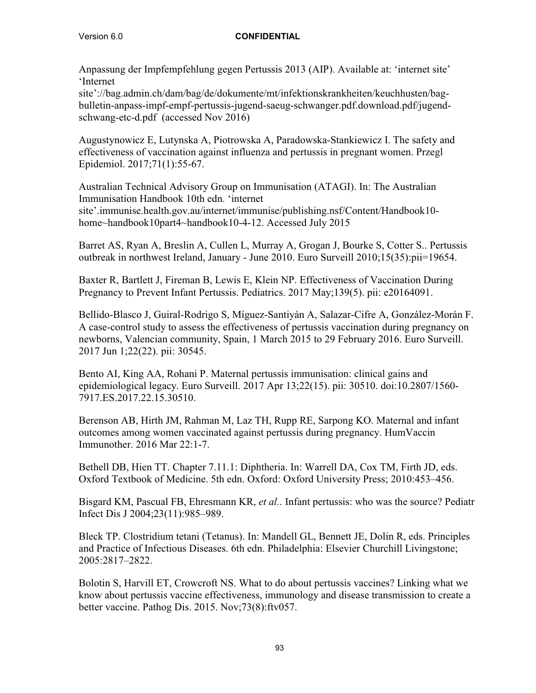Anpassung der Impfempfehlung gegen Pertussis 2013 (AIP). Available at: 'internet site' 'Internet

site'://bag.admin.ch/dam/bag/de/dokumente/mt/infektionskrankheiten/keuchhusten/bagbulletin-anpass-impf-empf-pertussis-jugend-saeug-schwanger.pdf.download.pdf/jugendschwang-etc-d.pdf (accessed Nov 2016)

Augustynowicz E, Lutynska A, Piotrowska A, Paradowska-Stankiewicz I. The safety and effectiveness of vaccination against influenza and pertussis in pregnant women. Przegl Epidemiol. 2017;71(1):55-67.

Australian Technical Advisory Group on Immunisation (ATAGI). In: The Australian Immunisation Handbook 10th edn. 'internet site'.immunise.health.gov.au/internet/immunise/publishing.nsf/Content/Handbook10 home~handbook10part4~handbook10-4-12. Accessed July 2015

Barret AS, Ryan A, Breslin A, Cullen L, Murray A, Grogan J, Bourke S, Cotter S.. Pertussis outbreak in northwest Ireland, January - June 2010. Euro Surveill 2010;15(35):pii=19654.

Baxter R, Bartlett J, Fireman B, Lewis E, Klein NP. Effectiveness of Vaccination During Pregnancy to Prevent Infant Pertussis. Pediatrics. 2017 May;139(5). pii: e20164091.

Bellido-Blasco J, Guiral-Rodrigo S, Míguez-Santiyán A, Salazar-Cifre A, González-Morán F. A case-control study to assess the effectiveness of pertussis vaccination during pregnancy on newborns, Valencian community, Spain, 1 March 2015 to 29 February 2016. Euro Surveill. 2017 Jun 1;22(22). pii: 30545.

Bento AI, King AA, Rohani P. Maternal pertussis immunisation: clinical gains and epidemiological legacy. Euro Surveill. 2017 Apr 13;22(15). pii: 30510. doi:10.2807/1560- 7917.ES.2017.22.15.30510.

Berenson AB, Hirth JM, Rahman M, Laz TH, Rupp RE, Sarpong KO. Maternal and infant outcomes among women vaccinated against pertussis during pregnancy. HumVaccin Immunother. 2016 Mar 22:1-7.

Bethell DB, Hien TT. Chapter 7.11.1: Diphtheria. In: Warrell DA, Cox TM, Firth JD, eds. Oxford Textbook of Medicine. 5th edn. Oxford: Oxford University Press; 2010:453–456.

Bisgard KM, Pascual FB, Ehresmann KR, *et al.*. Infant pertussis: who was the source? Pediatr Infect Dis J 2004;23(11):985–989.

Bleck TP. Clostridium tetani (Tetanus). In: Mandell GL, Bennett JE, Dolin R, eds. Principles and Practice of Infectious Diseases. 6th edn. Philadelphia: Elsevier Churchill Livingstone; 2005:2817–2822.

Bolotin S, Harvill ET, Crowcroft NS. What to do about pertussis vaccines? Linking what we know about pertussis vaccine effectiveness, immunology and disease transmission to create a better vaccine. Pathog Dis. 2015. Nov;73(8):ftv057.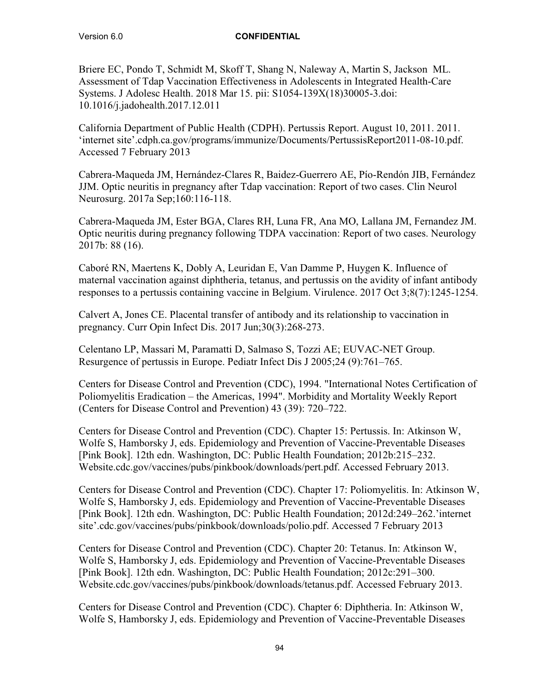Briere EC, Pondo T, Schmidt M, Skoff T, Shang N, Naleway A, Martin S, Jackson ML. Assessment of Tdap Vaccination Effectiveness in Adolescents in Integrated Health-Care Systems. J Adolesc Health. 2018 Mar 15. pii: S1054-139X(18)30005-3.doi: 10.1016/j.jadohealth.2017.12.011

California Department of Public Health (CDPH). Pertussis Report. August 10, 2011. 2011. 'internet site'.cdph.ca.gov/programs/immunize/Documents/PertussisReport2011-08-10.pdf. Accessed 7 February 2013

Cabrera-Maqueda JM, Hernández-Clares R, Baidez-Guerrero AE, Pío-Rendón JIB, Fernández JJM. Optic neuritis in pregnancy after Tdap vaccination: Report of two cases. Clin Neurol Neurosurg. 2017a Sep;160:116-118.

Cabrera-Maqueda JM, Ester BGA, Clares RH, Luna FR, Ana MO, Lallana JM, Fernandez JM. Optic neuritis during pregnancy following TDPA vaccination: Report of two cases. Neurology 2017b: 88 (16).

Caboré RN, Maertens K, Dobly A, Leuridan E, Van Damme P, Huygen K. Influence of maternal vaccination against diphtheria, tetanus, and pertussis on the avidity of infant antibody responses to a pertussis containing vaccine in Belgium. Virulence. 2017 Oct 3;8(7):1245-1254.

Calvert A, Jones CE. Placental transfer of antibody and its relationship to vaccination in pregnancy. Curr Opin Infect Dis. 2017 Jun;30(3):268-273.

Celentano LP, Massari M, Paramatti D, Salmaso S, Tozzi AE; EUVAC-NET Group. Resurgence of pertussis in Europe. Pediatr Infect Dis J 2005;24 (9):761–765.

Centers for Disease Control and Prevention (CDC), 1994. "International Notes Certification of Poliomyelitis Eradication – the Americas, 1994". Morbidity and Mortality Weekly Report (Centers for Disease Control and Prevention) 43 (39): 720–722.

Centers for Disease Control and Prevention (CDC). Chapter 15: Pertussis. In: Atkinson W, Wolfe S, Hamborsky J, eds. Epidemiology and Prevention of Vaccine-Preventable Diseases [Pink Book]. 12th edn. Washington, DC: Public Health Foundation; 2012b:215–232. Website.cdc.gov/vaccines/pubs/pinkbook/downloads/pert.pdf. Accessed February 2013.

Centers for Disease Control and Prevention (CDC). Chapter 17: Poliomyelitis. In: Atkinson W, Wolfe S, Hamborsky J, eds. Epidemiology and Prevention of Vaccine-Preventable Diseases [Pink Book]. 12th edn. Washington, DC: Public Health Foundation; 2012d:249–262.'internet site'.cdc.gov/vaccines/pubs/pinkbook/downloads/polio.pdf. Accessed 7 February 2013

Centers for Disease Control and Prevention (CDC). Chapter 20: Tetanus. In: Atkinson W, Wolfe S, Hamborsky J, eds. Epidemiology and Prevention of Vaccine-Preventable Diseases [Pink Book]. 12th edn. Washington, DC: Public Health Foundation; 2012c:291–300. Website.cdc.gov/vaccines/pubs/pinkbook/downloads/tetanus.pdf. Accessed February 2013.

Centers for Disease Control and Prevention (CDC). Chapter 6: Diphtheria. In: Atkinson W, Wolfe S, Hamborsky J, eds. Epidemiology and Prevention of Vaccine-Preventable Diseases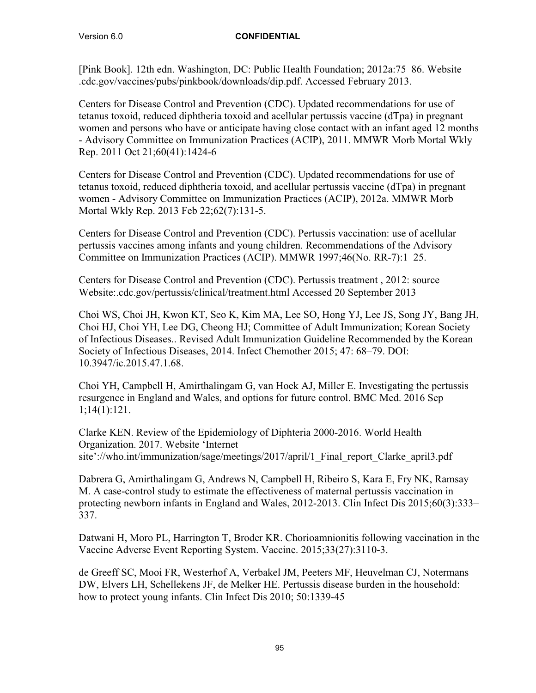[Pink Book]. 12th edn. Washington, DC: Public Health Foundation; 2012a:75–86. Website .cdc.gov/vaccines/pubs/pinkbook/downloads/dip.pdf. Accessed February 2013.

Centers for Disease Control and Prevention (CDC). Updated recommendations for use of tetanus toxoid, reduced diphtheria toxoid and acellular pertussis vaccine (dTpa) in pregnant women and persons who have or anticipate having close contact with an infant aged 12 months - Advisory Committee on Immunization Practices (ACIP), 2011. MMWR Morb Mortal Wkly Rep. 2011 Oct 21;60(41):1424-6

Centers for Disease Control and Prevention (CDC). Updated recommendations for use of tetanus toxoid, reduced diphtheria toxoid, and acellular pertussis vaccine (dTpa) in pregnant women - Advisory Committee on Immunization Practices (ACIP), 2012a. MMWR Morb Mortal Wkly Rep. 2013 Feb 22;62(7):131-5.

Centers for Disease Control and Prevention (CDC). Pertussis vaccination: use of acellular pertussis vaccines among infants and young children. Recommendations of the Advisory Committee on Immunization Practices (ACIP). MMWR 1997;46(No. RR-7):1–25.

Centers for Disease Control and Prevention (CDC). Pertussis treatment , 2012: source Website:.cdc.gov/pertussis/clinical/treatment.html Accessed 20 September 2013

Choi WS, Choi JH, Kwon KT, Seo K, Kim MA, Lee SO, Hong YJ, Lee JS, Song JY, Bang JH, Choi HJ, Choi YH, Lee DG, Cheong HJ; Committee of Adult Immunization; Korean Society of Infectious Diseases.. Revised Adult Immunization Guideline Recommended by the Korean Society of Infectious Diseases, 2014. Infect Chemother 2015; 47: 68–79. DOI: 10.3947/ic.2015.47.1.68.

Choi YH, Campbell H, Amirthalingam G, van Hoek AJ, Miller E. Investigating the pertussis resurgence in England and Wales, and options for future control. BMC Med. 2016 Sep 1;14(1):121.

Clarke KEN. Review of the Epidemiology of Diphteria 2000-2016. World Health Organization. 2017. Website 'Internet site'://who.int/immunization/sage/meetings/2017/april/1 Final report Clarke april3.pdf

Dabrera G, Amirthalingam G, Andrews N, Campbell H, Ribeiro S, Kara E, Fry NK, Ramsay M. A case-control study to estimate the effectiveness of maternal pertussis vaccination in protecting newborn infants in England and Wales, 2012-2013. Clin Infect Dis 2015;60(3):333– 337.

Datwani H, Moro PL, Harrington T, Broder KR. Chorioamnionitis following vaccination in the Vaccine Adverse Event Reporting System. Vaccine. 2015;33(27):3110-3.

de Greeff SC, Mooi FR, Westerhof A, Verbakel JM, Peeters MF, Heuvelman CJ, Notermans DW, Elvers LH, Schellekens JF, de Melker HE. Pertussis disease burden in the household: how to protect young infants. Clin Infect Dis 2010; 50:1339-45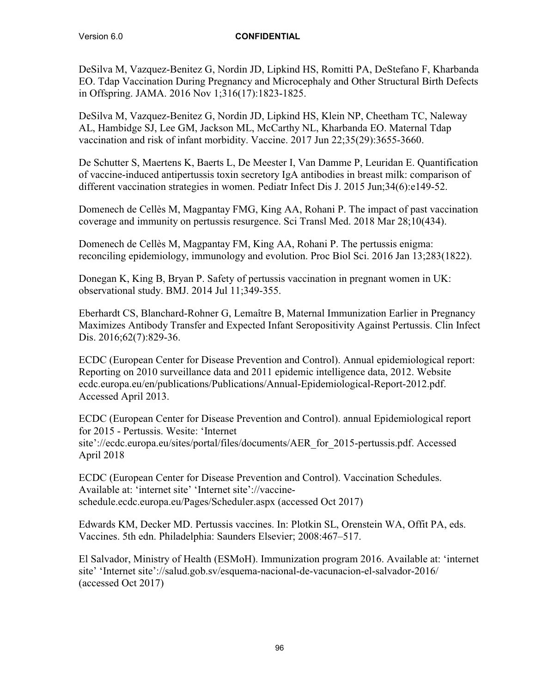DeSilva M, Vazquez-Benitez G, Nordin JD, Lipkind HS, Romitti PA, DeStefano F, Kharbanda EO. Tdap Vaccination During Pregnancy and Microcephaly and Other Structural Birth Defects in Offspring. JAMA. 2016 Nov 1;316(17):1823-1825.

DeSilva M, Vazquez-Benitez G, Nordin JD, Lipkind HS, Klein NP, Cheetham TC, Naleway AL, Hambidge SJ, Lee GM, Jackson ML, McCarthy NL, Kharbanda EO. Maternal Tdap vaccination and risk of infant morbidity. Vaccine. 2017 Jun 22;35(29):3655-3660.

De Schutter S, Maertens K, Baerts L, De Meester I, Van Damme P, Leuridan E. Quantification of vaccine-induced antipertussis toxin secretory IgA antibodies in breast milk: comparison of different vaccination strategies in women. Pediatr Infect Dis J. 2015 Jun;34(6):e149-52.

Domenech de Cellès M, Magpantay FMG, King AA, Rohani P. The impact of past vaccination coverage and immunity on pertussis resurgence. Sci Transl Med. 2018 Mar 28;10(434).

Domenech de Cellès M, Magpantay FM, King AA, Rohani P. The pertussis enigma: reconciling epidemiology, immunology and evolution. Proc Biol Sci. 2016 Jan 13;283(1822).

Donegan K, King B, Bryan P. Safety of pertussis vaccination in pregnant women in UK: observational study. BMJ. 2014 Jul 11;349-355.

Eberhardt CS, Blanchard-Rohner G, Lemaître B, Maternal Immunization Earlier in Pregnancy Maximizes Antibody Transfer and Expected Infant Seropositivity Against Pertussis. Clin Infect Dis. 2016;62(7):829-36.

ECDC (European Center for Disease Prevention and Control). Annual epidemiological report: Reporting on 2010 surveillance data and 2011 epidemic intelligence data, 2012. Website ecdc.europa.eu/en/publications/Publications/Annual-Epidemiological-Report-2012.pdf. Accessed April 2013.

ECDC (European Center for Disease Prevention and Control). annual Epidemiological report for 2015 - Pertussis. Wesite: 'Internet site'://ecdc.europa.eu/sites/portal/files/documents/AER\_for\_2015-pertussis.pdf. Accessed April 2018

ECDC (European Center for Disease Prevention and Control). Vaccination Schedules. Available at: 'internet site' 'Internet site'://vaccineschedule.ecdc.europa.eu/Pages/Scheduler.aspx (accessed Oct 2017)

Edwards KM, Decker MD. Pertussis vaccines. In: Plotkin SL, Orenstein WA, Offit PA, eds. Vaccines. 5th edn. Philadelphia: Saunders Elsevier; 2008:467–517.

El Salvador, Ministry of Health (ESMoH). Immunization program 2016. Available at: 'internet site' 'Internet site'://salud.gob.sv/esquema-nacional-de-vacunacion-el-salvador-2016/ (accessed Oct 2017)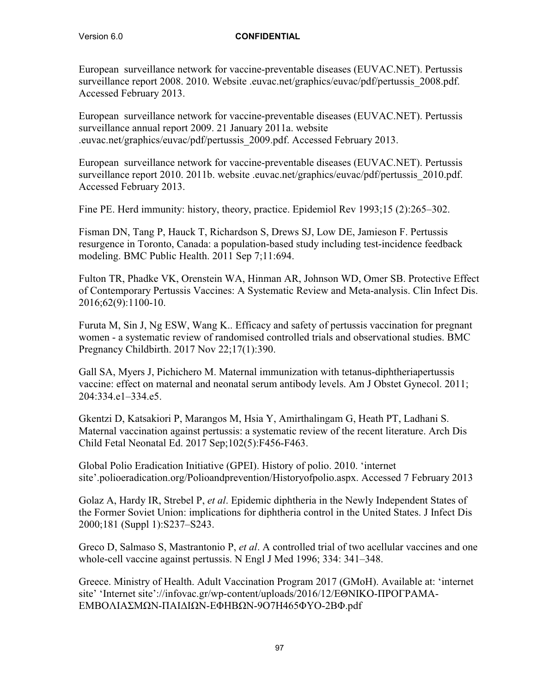European surveillance network for vaccine-preventable diseases (EUVAC.NET). Pertussis surveillance report 2008. 2010. Website .euvac.net/graphics/euvac/pdf/pertussis 2008.pdf. Accessed February 2013.

European surveillance network for vaccine-preventable diseases (EUVAC.NET). Pertussis surveillance annual report 2009. 21 January 2011a. website .euvac.net/graphics/euvac/pdf/pertussis\_2009.pdf. Accessed February 2013.

European surveillance network for vaccine-preventable diseases (EUVAC.NET). Pertussis surveillance report 2010. 2011b. website .euvac.net/graphics/euvac/pdf/pertussis\_2010.pdf. Accessed February 2013.

Fine PE. Herd immunity: history, theory, practice. Epidemiol Rev 1993;15 (2):265–302.

Fisman DN, Tang P, Hauck T, Richardson S, Drews SJ, Low DE, Jamieson F. Pertussis resurgence in Toronto, Canada: a population-based study including test-incidence feedback modeling. BMC Public Health. 2011 Sep 7;11:694.

Fulton TR, Phadke VK, Orenstein WA, Hinman AR, Johnson WD, Omer SB. Protective Effect of Contemporary Pertussis Vaccines: A Systematic Review and Meta-analysis. Clin Infect Dis. 2016;62(9):1100-10.

Furuta M, Sin J, Ng ESW, Wang K.. Efficacy and safety of pertussis vaccination for pregnant women - a systematic review of randomised controlled trials and observational studies. BMC Pregnancy Childbirth. 2017 Nov 22;17(1):390.

Gall SA, Myers J, Pichichero M. Maternal immunization with tetanus-diphtheriapertussis vaccine: effect on maternal and neonatal serum antibody levels. Am J Obstet Gynecol. 2011; 204:334.e1–334.e5.

Gkentzi D, Katsakiori P, Marangos M, Hsia Y, Amirthalingam G, Heath PT, Ladhani S. Maternal vaccination against pertussis: a systematic review of the recent literature. Arch Dis Child Fetal Neonatal Ed. 2017 Sep;102(5):F456-F463.

Global Polio Eradication Initiative (GPEI). History of polio. 2010. 'internet site'.polioeradication.org/Polioandprevention/Historyofpolio.aspx. Accessed 7 February 2013

Golaz A, Hardy IR, Strebel P, *et al*. Epidemic diphtheria in the Newly Independent States of the Former Soviet Union: implications for diphtheria control in the United States. J Infect Dis 2000;181 (Suppl 1):S237–S243.

Greco D, Salmaso S, Mastrantonio P, *et al*. A controlled trial of two acellular vaccines and one whole-cell vaccine against pertussis. N Engl J Med 1996; 334: 341–348.

Greece. Ministry of Health. Adult Vaccination Program 2017 (GMoH). Available at: 'internet site' 'Internet site'://infovac.gr/wp-content/uploads/2016/12/ΕΘΝΙΚΟ-ΠΡΟΓΡΑΜΑ-ΕΜΒΟΛΙΑΣΜΩΝ-ΠΑΙΔΙΩΝ-ΕΦΗΒΩΝ-9Ο7Η465ΦΥΟ-2ΒΦ.pdf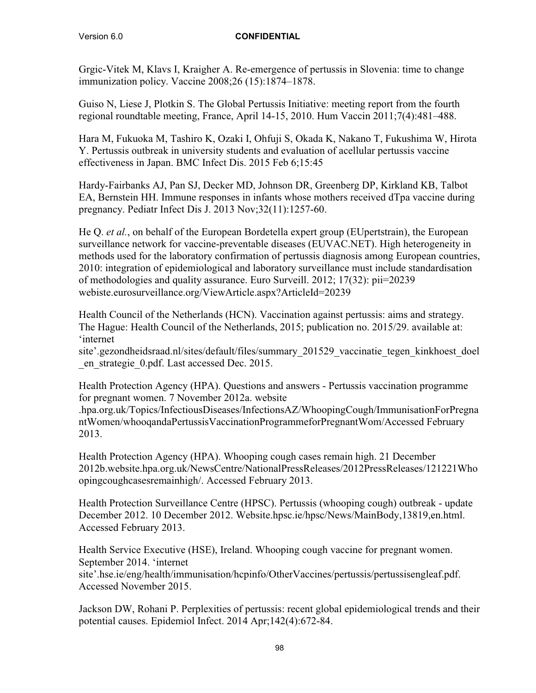Grgic-Vitek M, Klavs I, Kraigher A. Re-emergence of pertussis in Slovenia: time to change immunization policy. Vaccine 2008;26 (15):1874–1878.

Guiso N, Liese J, Plotkin S. The Global Pertussis Initiative: meeting report from the fourth regional roundtable meeting, France, April 14-15, 2010. Hum Vaccin 2011;7(4):481–488.

Hara M, Fukuoka M, Tashiro K, Ozaki I, Ohfuji S, Okada K, Nakano T, Fukushima W, Hirota Y. Pertussis outbreak in university students and evaluation of acellular pertussis vaccine effectiveness in Japan. BMC Infect Dis. 2015 Feb 6;15:45

Hardy-Fairbanks AJ, Pan SJ, Decker MD, Johnson DR, Greenberg DP, Kirkland KB, Talbot EA, Bernstein HH. Immune responses in infants whose mothers received dTpa vaccine during pregnancy. Pediatr Infect Dis J. 2013 Nov;32(11):1257-60.

He Q. *et al.*, on behalf of the European Bordetella expert group (EUpertstrain), the European surveillance network for vaccine-preventable diseases (EUVAC.NET). High heterogeneity in methods used for the laboratory confirmation of pertussis diagnosis among European countries, 2010: integration of epidemiological and laboratory surveillance must include standardisation of methodologies and quality assurance. Euro Surveill. 2012; 17(32): pii=20239 webiste.eurosurveillance.org/ViewArticle.aspx?ArticleId=20239

Health Council of the Netherlands (HCN). Vaccination against pertussis: aims and strategy. The Hague: Health Council of the Netherlands, 2015; publication no. 2015/29. available at: 'internet

site'.gezondheidsraad.nl/sites/default/files/summary\_201529\_vaccinatie\_tegen\_kinkhoest\_doel \_en\_strategie\_0.pdf. Last accessed Dec. 2015.

Health Protection Agency (HPA). Questions and answers - Pertussis vaccination programme for pregnant women. 7 November 2012a. website

.hpa.org.uk/Topics/InfectiousDiseases/InfectionsAZ/WhoopingCough/ImmunisationForPregna ntWomen/whooqandaPertussisVaccinationProgrammeforPregnantWom/Accessed February 2013.

Health Protection Agency (HPA). Whooping cough cases remain high. 21 December 2012b.website.hpa.org.uk/NewsCentre/NationalPressReleases/2012PressReleases/121221Who opingcoughcasesremainhigh/. Accessed February 2013.

Health Protection Surveillance Centre (HPSC). Pertussis (whooping cough) outbreak - update December 2012. 10 December 2012. Website.hpsc.ie/hpsc/News/MainBody,13819,en.html. Accessed February 2013.

Health Service Executive (HSE), Ireland. Whooping cough vaccine for pregnant women. September 2014. 'internet

site'.hse.ie/eng/health/immunisation/hcpinfo/OtherVaccines/pertussis/pertussisengleaf.pdf. Accessed November 2015.

Jackson DW, Rohani P. Perplexities of pertussis: recent global epidemiological trends and their potential causes. Epidemiol Infect. 2014 Apr;142(4):672-84.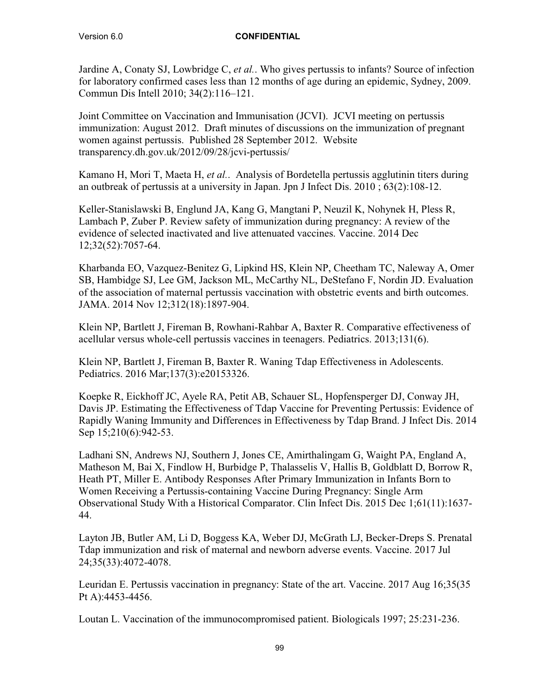Jardine A, Conaty SJ, Lowbridge C, *et al.*. Who gives pertussis to infants? Source of infection for laboratory confirmed cases less than 12 months of age during an epidemic, Sydney, 2009. Commun Dis Intell 2010; 34(2):116–121.

Joint Committee on Vaccination and Immunisation (JCVI). JCVI meeting on pertussis immunization: August 2012. Draft minutes of discussions on the immunization of pregnant women against pertussis. Published 28 September 2012. Website transparency.dh.gov.uk/2012/09/28/jcvi-pertussis/

Kamano H, Mori T, Maeta H, *et al.*. Analysis of Bordetella pertussis agglutinin titers during an outbreak of pertussis at a university in Japan. Jpn J Infect Dis. 2010 ; 63(2):108-12.

Keller-Stanislawski B, Englund JA, Kang G, Mangtani P, Neuzil K, Nohynek H, Pless R, Lambach P, Zuber P. Review safety of immunization during pregnancy: A review of the evidence of selected inactivated and live attenuated vaccines. Vaccine. 2014 Dec 12;32(52):7057-64.

Kharbanda EO, Vazquez-Benitez G, Lipkind HS, Klein NP, Cheetham TC, Naleway A, Omer SB, Hambidge SJ, Lee GM, Jackson ML, McCarthy NL, DeStefano F, Nordin JD. Evaluation of the association of maternal pertussis vaccination with obstetric events and birth outcomes. JAMA. 2014 Nov 12;312(18):1897-904.

Klein NP, Bartlett J, Fireman B, Rowhani-Rahbar A, Baxter R. Comparative effectiveness of acellular versus whole-cell pertussis vaccines in teenagers. Pediatrics. 2013;131(6).

Klein NP, Bartlett J, Fireman B, Baxter R. Waning Tdap Effectiveness in Adolescents. Pediatrics. 2016 Mar;137(3):e20153326.

Koepke R, Eickhoff JC, Ayele RA, Petit AB, Schauer SL, Hopfensperger DJ, Conway JH, Davis JP. Estimating the Effectiveness of Tdap Vaccine for Preventing Pertussis: Evidence of Rapidly Waning Immunity and Differences in Effectiveness by Tdap Brand. J Infect Dis. 2014 Sep 15;210(6):942-53.

Ladhani SN, Andrews NJ, Southern J, Jones CE, Amirthalingam G, Waight PA, England A, Matheson M, Bai X, Findlow H, Burbidge P, Thalasselis V, Hallis B, Goldblatt D, Borrow R, Heath PT, Miller E. Antibody Responses After Primary Immunization in Infants Born to Women Receiving a Pertussis-containing Vaccine During Pregnancy: Single Arm Observational Study With a Historical Comparator. Clin Infect Dis. 2015 Dec 1;61(11):1637- 44.

Layton JB, Butler AM, Li D, Boggess KA, Weber DJ, McGrath LJ, Becker-Dreps S. Prenatal Tdap immunization and risk of maternal and newborn adverse events. Vaccine. 2017 Jul 24;35(33):4072-4078.

Leuridan E. Pertussis vaccination in pregnancy: State of the art. Vaccine. 2017 Aug 16;35(35 Pt A):4453-4456.

Loutan L. Vaccination of the immunocompromised patient. Biologicals 1997; 25:231-236.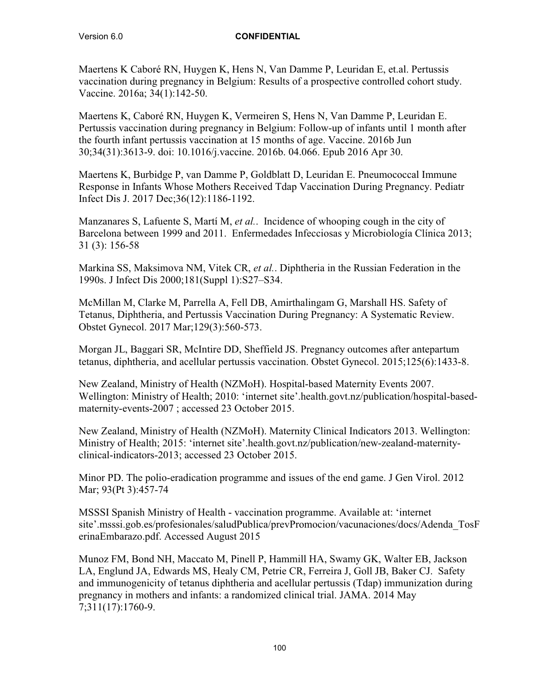Maertens K Caboré RN, Huygen K, Hens N, Van Damme P, Leuridan E, et.al. Pertussis vaccination during pregnancy in Belgium: Results of a prospective controlled cohort study. Vaccine. 2016a; 34(1):142-50.

Maertens K, Caboré RN, Huygen K, Vermeiren S, Hens N, Van Damme P, Leuridan E. Pertussis vaccination during pregnancy in Belgium: Follow-up of infants until 1 month after the fourth infant pertussis vaccination at 15 months of age. Vaccine. 2016b Jun 30;34(31):3613-9. doi: 10.1016/j.vaccine. 2016b. 04.066. Epub 2016 Apr 30.

Maertens K, Burbidge P, van Damme P, Goldblatt D, Leuridan E. Pneumococcal Immune Response in Infants Whose Mothers Received Tdap Vaccination During Pregnancy. Pediatr Infect Dis J. 2017 Dec;36(12):1186-1192.

Manzanares S, Lafuente S, Martí M, *et al.*. Incidence of whooping cough in the city of Barcelona between 1999 and 2011. Enfermedades Infecciosas y Microbiología Clínica 2013; 31 (3): 156-58

Markina SS, Maksimova NM, Vitek CR, *et al.*. Diphtheria in the Russian Federation in the 1990s. J Infect Dis 2000;181(Suppl 1):S27–S34.

McMillan M, Clarke M, Parrella A, Fell DB, Amirthalingam G, Marshall HS. Safety of Tetanus, Diphtheria, and Pertussis Vaccination During Pregnancy: A Systematic Review. Obstet Gynecol. 2017 Mar;129(3):560-573.

Morgan JL, Baggari SR, McIntire DD, Sheffield JS. Pregnancy outcomes after antepartum tetanus, diphtheria, and acellular pertussis vaccination. Obstet Gynecol. 2015;125(6):1433-8.

New Zealand, Ministry of Health (NZMoH). Hospital-based Maternity Events 2007. Wellington: Ministry of Health; 2010: 'internet site'.health.govt.nz/publication/hospital-basedmaternity-events-2007 ; accessed 23 October 2015.

New Zealand, Ministry of Health (NZMoH). Maternity Clinical Indicators 2013. Wellington: Ministry of Health; 2015: 'internet site'.health.govt.nz/publication/new-zealand-maternityclinical-indicators-2013; accessed 23 October 2015.

Minor PD. The polio-eradication programme and issues of the end game. J Gen Virol. 2012 Mar; 93(Pt 3):457-74

MSSSI Spanish Ministry of Health - vaccination programme. Available at: 'internet site'.msssi.gob.es/profesionales/saludPublica/prevPromocion/vacunaciones/docs/Adenda\_TosF erinaEmbarazo.pdf. Accessed August 2015

Munoz FM, Bond NH, Maccato M, Pinell P, Hammill HA, Swamy GK, Walter EB, Jackson LA, Englund JA, Edwards MS, Healy CM, Petrie CR, Ferreira J, Goll JB, Baker CJ. Safety and immunogenicity of tetanus diphtheria and acellular pertussis (Tdap) immunization during pregnancy in mothers and infants: a randomized clinical trial. JAMA. 2014 May 7;311(17):1760-9.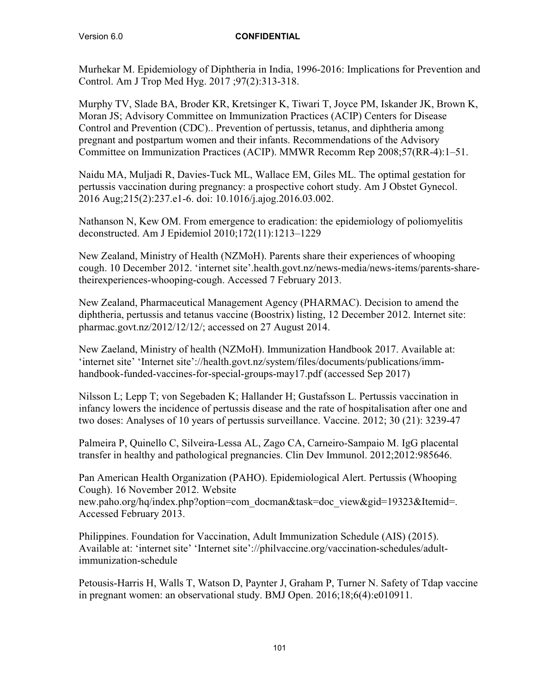Murhekar M. Epidemiology of Diphtheria in India, 1996-2016: Implications for Prevention and Control. Am J Trop Med Hyg. 2017 ;97(2):313-318.

Murphy TV, Slade BA, Broder KR, Kretsinger K, Tiwari T, Joyce PM, Iskander JK, Brown K, Moran JS; Advisory Committee on Immunization Practices (ACIP) Centers for Disease Control and Prevention (CDC).. Prevention of pertussis, tetanus, and diphtheria among pregnant and postpartum women and their infants. Recommendations of the Advisory Committee on Immunization Practices (ACIP). MMWR Recomm Rep 2008;57(RR-4):1–51.

Naidu MA, Muljadi R, Davies-Tuck ML, Wallace EM, Giles ML. The optimal gestation for pertussis vaccination during pregnancy: a prospective cohort study. Am J Obstet Gynecol. 2016 Aug;215(2):237.e1-6. doi: 10.1016/j.ajog.2016.03.002.

Nathanson N, Kew OM. From emergence to eradication: the epidemiology of poliomyelitis deconstructed. Am J Epidemiol 2010;172(11):1213–1229

New Zealand, Ministry of Health (NZMoH). Parents share their experiences of whooping cough. 10 December 2012. 'internet site'.health.govt.nz/news-media/news-items/parents-sharetheirexperiences-whooping-cough. Accessed 7 February 2013.

New Zealand, Pharmaceutical Management Agency (PHARMAC). Decision to amend the diphtheria, pertussis and tetanus vaccine (Boostrix) listing, 12 December 2012. Internet site: pharmac.govt.nz/2012/12/12/; accessed on 27 August 2014.

New Zaeland, Ministry of health (NZMoH). Immunization Handbook 2017. Available at: 'internet site' 'Internet site'://health.govt.nz/system/files/documents/publications/immhandbook-funded-vaccines-for-special-groups-may17.pdf (accessed Sep 2017)

Nilsson L; Lepp T; von Segebaden K; Hallander H; Gustafsson L. Pertussis vaccination in infancy lowers the incidence of pertussis disease and the rate of hospitalisation after one and two doses: Analyses of 10 years of pertussis surveillance. Vaccine. 2012; 30 (21): 3239-47

Palmeira P, Quinello C, Silveira-Lessa AL, Zago CA, Carneiro-Sampaio M. IgG placental transfer in healthy and pathological pregnancies. Clin Dev Immunol. 2012;2012:985646.

Pan American Health Organization (PAHO). Epidemiological Alert. Pertussis (Whooping Cough). 16 November 2012. Website new.paho.org/hq/index.php?option=com\_docman&task=doc\_view&gid=19323&Itemid=. Accessed February 2013.

Philippines. Foundation for Vaccination, Adult Immunization Schedule (AIS) (2015). Available at: 'internet site' 'Internet site'://philvaccine.org/vaccination-schedules/adultimmunization-schedule

Petousis-Harris H, Walls T, Watson D, Paynter J, Graham P, Turner N. Safety of Tdap vaccine in pregnant women: an observational study. BMJ Open. 2016;18;6(4):e010911.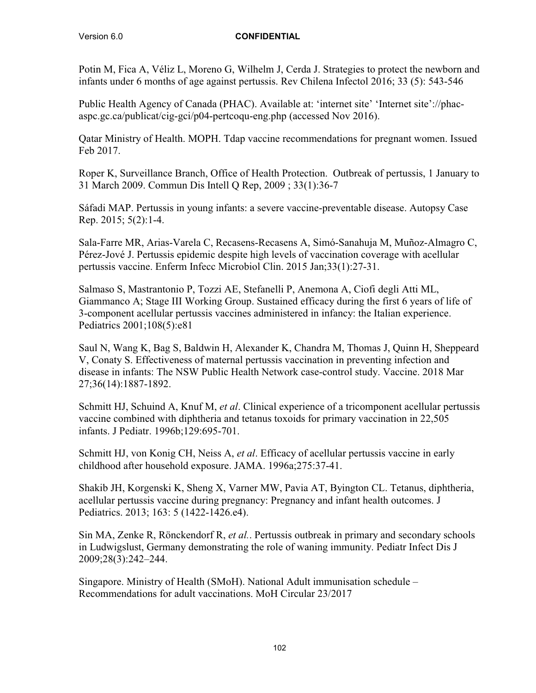Potin M, Fica A, Véliz L, Moreno G, Wilhelm J, Cerda J. Strategies to protect the newborn and infants under 6 months of age against pertussis. Rev Chilena Infectol 2016; 33 (5): 543-546

Public Health Agency of Canada (PHAC). Available at: 'internet site' 'Internet site'://phacaspc.gc.ca/publicat/cig-gci/p04-pertcoqu-eng.php (accessed Nov 2016).

Qatar Ministry of Health. MOPH. Tdap vaccine recommendations for pregnant women. Issued Feb 2017.

Roper K, Surveillance Branch, Office of Health Protection. Outbreak of pertussis, 1 January to 31 March 2009. Commun Dis Intell Q Rep, 2009 ; 33(1):36-7

Sáfadi MAP. Pertussis in young infants: a severe vaccine-preventable disease. Autopsy Case Rep. 2015; 5(2):1-4.

Sala-Farre MR, Arias-Varela C, Recasens-Recasens A, Simó-Sanahuja M, Muñoz-Almagro C, Pérez-Jové J. Pertussis epidemic despite high levels of vaccination coverage with acellular pertussis vaccine. Enferm Infecc Microbiol Clin. 2015 Jan;33(1):27-31.

Salmaso S, Mastrantonio P, Tozzi AE, Stefanelli P, Anemona A, Ciofi degli Atti ML, Giammanco A; Stage III Working Group. Sustained efficacy during the first 6 years of life of 3-component acellular pertussis vaccines administered in infancy: the Italian experience. Pediatrics 2001;108(5):e81

Saul N, Wang K, Bag S, Baldwin H, Alexander K, Chandra M, Thomas J, Quinn H, Sheppeard V, Conaty S. Effectiveness of maternal pertussis vaccination in preventing infection and disease in infants: The NSW Public Health Network case-control study. Vaccine. 2018 Mar 27;36(14):1887-1892.

Schmitt HJ, Schuind A, Knuf M, *et al*. Clinical experience of a tricomponent acellular pertussis vaccine combined with diphtheria and tetanus toxoids for primary vaccination in 22,505 infants. J Pediatr. 1996b;129:695-701.

Schmitt HJ, von Konig CH, Neiss A, *et al*. Efficacy of acellular pertussis vaccine in early childhood after household exposure. JAMA. 1996a;275:37-41.

Shakib JH, Korgenski K, Sheng X, Varner MW, Pavia AT, Byington CL. Tetanus, diphtheria, acellular pertussis vaccine during pregnancy: Pregnancy and infant health outcomes. J Pediatrics. 2013; 163: 5 (1422-1426.e4).

Sin MA, Zenke R, Rönckendorf R, *et al.*. Pertussis outbreak in primary and secondary schools in Ludwigslust, Germany demonstrating the role of waning immunity. Pediatr Infect Dis J 2009;28(3):242–244.

Singapore. Ministry of Health (SMoH). National Adult immunisation schedule – Recommendations for adult vaccinations. MoH Circular 23/2017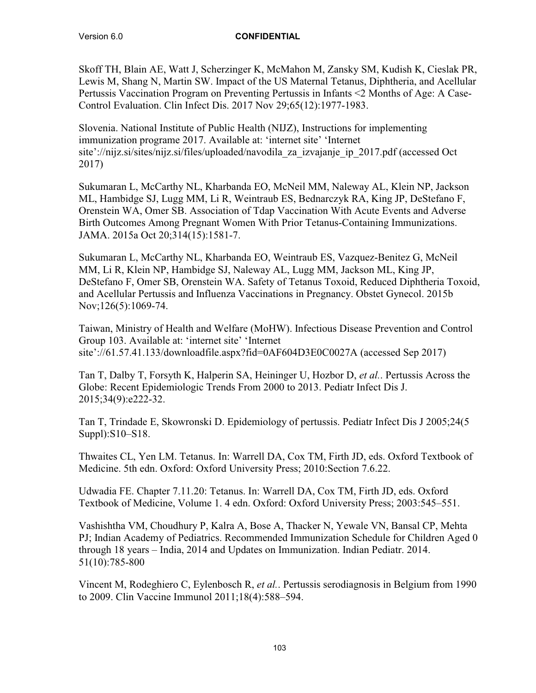Skoff TH, Blain AE, Watt J, Scherzinger K, McMahon M, Zansky SM, Kudish K, Cieslak PR, Lewis M, Shang N, Martin SW. Impact of the US Maternal Tetanus, Diphtheria, and Acellular Pertussis Vaccination Program on Preventing Pertussis in Infants <2 Months of Age: A Case-Control Evaluation. Clin Infect Dis. 2017 Nov 29;65(12):1977-1983.

Slovenia. National Institute of Public Health (NIJZ), Instructions for implementing immunization programe 2017. Available at: 'internet site' 'Internet site'://nijz.si/sites/nijz.si/files/uploaded/navodila\_za\_izvajanje\_ip\_2017.pdf (accessed Oct 2017)

Sukumaran L, McCarthy NL, Kharbanda EO, McNeil MM, Naleway AL, Klein NP, Jackson ML, Hambidge SJ, Lugg MM, Li R, Weintraub ES, Bednarczyk RA, King JP, DeStefano F, Orenstein WA, Omer SB. Association of Tdap Vaccination With Acute Events and Adverse Birth Outcomes Among Pregnant Women With Prior Tetanus-Containing Immunizations. JAMA. 2015a Oct 20;314(15):1581-7.

Sukumaran L, McCarthy NL, Kharbanda EO, Weintraub ES, Vazquez-Benitez G, McNeil MM, Li R, Klein NP, Hambidge SJ, Naleway AL, Lugg MM, Jackson ML, King JP, DeStefano F, Omer SB, Orenstein WA. Safety of Tetanus Toxoid, Reduced Diphtheria Toxoid, and Acellular Pertussis and Influenza Vaccinations in Pregnancy. Obstet Gynecol. 2015b Nov;126(5):1069-74.

Taiwan, Ministry of Health and Welfare (MoHW). Infectious Disease Prevention and Control Group 103. Available at: 'internet site' 'Internet site'://61.57.41.133/downloadfile.aspx?fid=0AF604D3E0C0027A (accessed Sep 2017)

Tan T, Dalby T, Forsyth K, Halperin SA, Heininger U, Hozbor D, *et al.*. Pertussis Across the Globe: Recent Epidemiologic Trends From 2000 to 2013. Pediatr Infect Dis J. 2015;34(9):e222-32.

Tan T, Trindade E, Skowronski D. Epidemiology of pertussis. Pediatr Infect Dis J 2005;24(5 Suppl):S10–S18.

Thwaites CL, Yen LM. Tetanus. In: Warrell DA, Cox TM, Firth JD, eds. Oxford Textbook of Medicine. 5th edn. Oxford: Oxford University Press; 2010:Section 7.6.22.

Udwadia FE. Chapter 7.11.20: Tetanus. In: Warrell DA, Cox TM, Firth JD, eds. Oxford Textbook of Medicine, Volume 1. 4 edn. Oxford: Oxford University Press; 2003:545–551.

Vashishtha VM, Choudhury P, Kalra A, Bose A, Thacker N, Yewale VN, Bansal CP, Mehta PJ; Indian Academy of Pediatrics. Recommended Immunization Schedule for Children Aged 0 through 18 years – India, 2014 and Updates on Immunization. Indian Pediatr. 2014. 51(10):785-800

Vincent M, Rodeghiero C, Eylenbosch R, *et al.*. Pertussis serodiagnosis in Belgium from 1990 to 2009. Clin Vaccine Immunol 2011;18(4):588–594.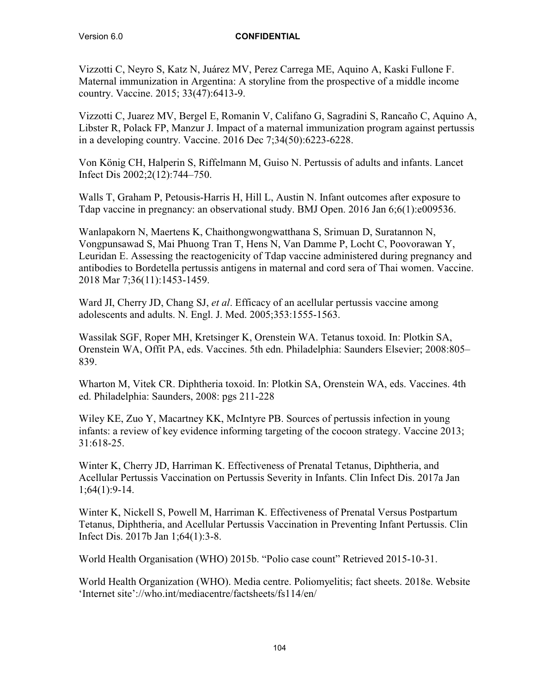Vizzotti C, Neyro S, Katz N, Juárez MV, Perez Carrega ME, Aquino A, Kaski Fullone F. Maternal immunization in Argentina: A storyline from the prospective of a middle income country. Vaccine. 2015; 33(47):6413-9.

Vizzotti C, Juarez MV, Bergel E, Romanin V, Califano G, Sagradini S, Rancaño C, Aquino A, Libster R, Polack FP, Manzur J. Impact of a maternal immunization program against pertussis in a developing country. Vaccine. 2016 Dec 7;34(50):6223-6228.

Von König CH, Halperin S, Riffelmann M, Guiso N. Pertussis of adults and infants. Lancet Infect Dis 2002;2(12):744–750.

Walls T, Graham P, Petousis-Harris H, Hill L, Austin N. Infant outcomes after exposure to Tdap vaccine in pregnancy: an observational study. BMJ Open. 2016 Jan 6;6(1):e009536.

Wanlapakorn N, Maertens K, Chaithongwongwatthana S, Srimuan D, Suratannon N, Vongpunsawad S, Mai Phuong Tran T, Hens N, Van Damme P, Locht C, Poovorawan Y, Leuridan E. Assessing the reactogenicity of Tdap vaccine administered during pregnancy and antibodies to Bordetella pertussis antigens in maternal and cord sera of Thai women. Vaccine. 2018 Mar 7;36(11):1453-1459.

Ward JI, Cherry JD, Chang SJ, *et al*. Efficacy of an acellular pertussis vaccine among adolescents and adults. N. Engl. J. Med. 2005;353:1555-1563.

Wassilak SGF, Roper MH, Kretsinger K, Orenstein WA. Tetanus toxoid. In: Plotkin SA, Orenstein WA, Offit PA, eds. Vaccines. 5th edn. Philadelphia: Saunders Elsevier; 2008:805– 839.

Wharton M, Vitek CR. Diphtheria toxoid. In: Plotkin SA, Orenstein WA, eds. Vaccines. 4th ed. Philadelphia: Saunders, 2008: pgs 211-228

Wiley KE, Zuo Y, Macartney KK, McIntyre PB. Sources of pertussis infection in young infants: a review of key evidence informing targeting of the cocoon strategy. Vaccine 2013; 31:618-25.

Winter K, Cherry JD, Harriman K. Effectiveness of Prenatal Tetanus, Diphtheria, and Acellular Pertussis Vaccination on Pertussis Severity in Infants. Clin Infect Dis. 2017a Jan 1;64(1):9-14.

Winter K, Nickell S, Powell M, Harriman K. Effectiveness of Prenatal Versus Postpartum Tetanus, Diphtheria, and Acellular Pertussis Vaccination in Preventing Infant Pertussis. Clin Infect Dis. 2017b Jan 1;64(1):3-8.

World Health Organisation (WHO) 2015b. "Polio case count" Retrieved 2015-10-31.

World Health Organization (WHO). Media centre. Poliomyelitis; fact sheets. 2018e. Website 'Internet site'://who.int/mediacentre/factsheets/fs114/en/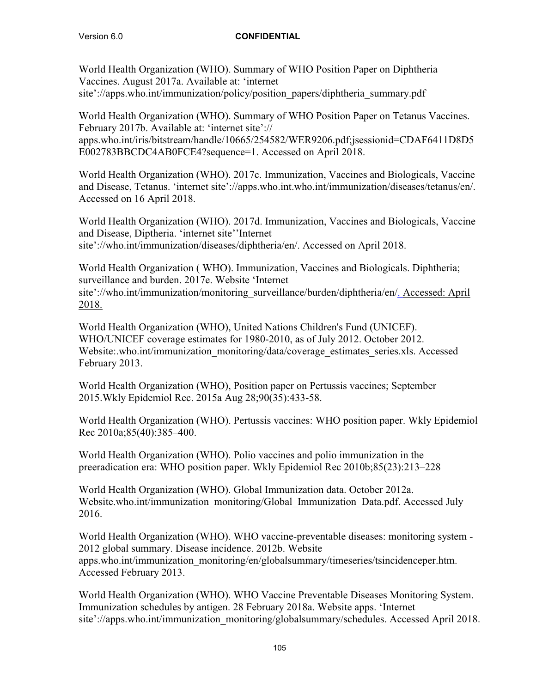World Health Organization (WHO). Summary of WHO Position Paper on Diphtheria Vaccines. August 2017a. Available at: 'internet site'://apps.who.int/immunization/policy/position\_papers/diphtheria\_summary.pdf

World Health Organization (WHO). Summary of WHO Position Paper on Tetanus Vaccines. February 2017b. Available at: 'internet site':// apps.who.int/iris/bitstream/handle/10665/254582/WER9206.pdf;jsessionid=CDAF6411D8D5 E002783BBCDC4AB0FCE4?sequence=1. Accessed on April 2018.

World Health Organization (WHO). 2017c. Immunization, Vaccines and Biologicals, Vaccine and Disease, Tetanus. 'internet site'://apps.who.int.who.int/immunization/diseases/tetanus/en/. Accessed on 16 April 2018.

World Health Organization (WHO). 2017d. Immunization, Vaccines and Biologicals, Vaccine and Disease, Diptheria. 'internet site''Internet site'://who.int/immunization/diseases/diphtheria/en/. Accessed on April 2018.

World Health Organization ( WHO). Immunization, Vaccines and Biologicals. Diphtheria; surveillance and burden. 2017e. Website 'Internet site'://who.int/immunization/monitoring\_surveillance/burden/diphtheria/en/. Accessed: April 2018.

World Health Organization (WHO), United Nations Children's Fund (UNICEF). WHO/UNICEF coverage estimates for 1980-2010, as of July 2012. October 2012. Website:.who.int/immunization\_monitoring/data/coverage\_estimates\_series.xls. Accessed February 2013.

World Health Organization (WHO), Position paper on Pertussis vaccines; September 2015.Wkly Epidemiol Rec. 2015a Aug 28;90(35):433-58.

World Health Organization (WHO). Pertussis vaccines: WHO position paper. Wkly Epidemiol Rec 2010a;85(40):385–400.

World Health Organization (WHO). Polio vaccines and polio immunization in the preeradication era: WHO position paper. Wkly Epidemiol Rec 2010b;85(23):213–228

World Health Organization (WHO). Global Immunization data. October 2012a. Website.who.int/immunization\_monitoring/Global\_Immunization\_Data.pdf. Accessed July 2016.

World Health Organization (WHO). WHO vaccine-preventable diseases: monitoring system - 2012 global summary. Disease incidence. 2012b. Website apps.who.int/immunization\_monitoring/en/globalsummary/timeseries/tsincidenceper.htm. Accessed February 2013.

World Health Organization (WHO). WHO Vaccine Preventable Diseases Monitoring System. Immunization schedules by antigen. 28 February 2018a. Website apps. 'Internet site'://apps.who.int/immunization\_monitoring/globalsummary/schedules. Accessed April 2018.